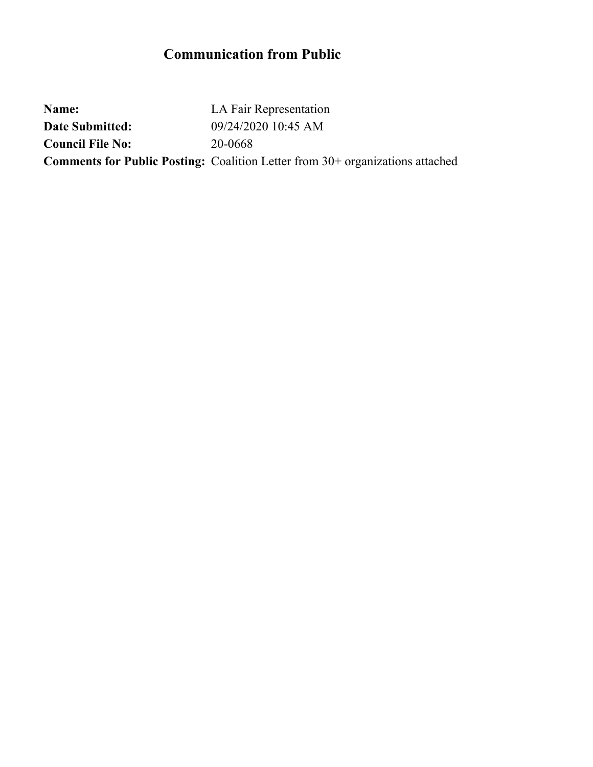## **Communication from Public**

**Name:** LA Fair Representation **Date Submitted:** 09/24/2020 10:45 AM **Council File No:** 20-0668 **Comments for Public Posting:** Coalition Letter from 30+ organizations attached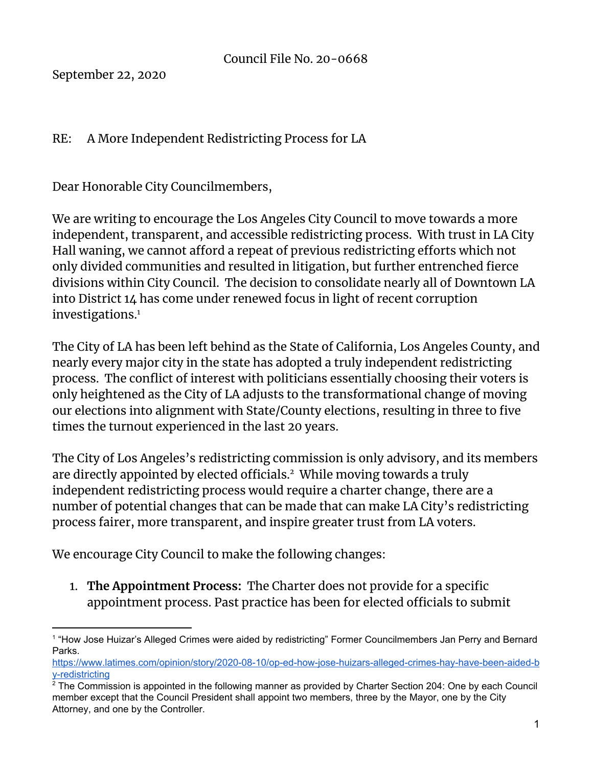September 22, 2020

## RE: A More Independent Redistricting Process for LA

Dear Honorable City Councilmembers,

We are writing to encourage the Los Angeles City Council to move towards a more independent, transparent, and accessible redistricting process. With trust in LA City Hall waning, we cannot afford a repeat of previous redistricting efforts which not only divided communities and resulted in litigation, but further entrenched fierce divisions within City Council. The decision to consolidate nearly all of Downtown LA into District 14 has come under renewed focus in light of recent corruption investigations. 1

The City of LA has been left behind as the State of California, Los Angeles County, and nearly every major city in the state has adopted a truly independent redistricting process. The conflict of interest with politicians essentially choosing their voters is only heightened as the City of LA adjusts to the transformational change of moving our elections into alignment with State/County elections, resulting in three to five times the turnout experienced in the last 20 years.

The City of Los Angeles's redistricting commission is only advisory, and its members are directly appointed by elected officials.<sup>2</sup> While moving towards a truly independent redistricting process would require a charter change, there are a number of potential changes that can be made that can make LA City's redistricting process fairer, more transparent, and inspire greater trust from LA voters.

We encourage City Council to make the following changes:

1. **The Appointment Process:** The Charter does not provide for a specific appointment process. Past practice has been for elected officials to submit

<sup>1</sup> "How Jose Huizar's Alleged Crimes were aided by redistricting" Former Councilmembers Jan Perry and Bernard Parks.

[https://www.latimes.com/opinion/story/2020-08-10/op-ed-how-jose-huizars-alleged-crimes-hay-have-been-aided-b](https://www.latimes.com/opinion/story/2020-08-10/op-ed-how-jose-huizars-alleged-crimes-hay-have-been-aided-by-redistricting) [y-redistricting](https://www.latimes.com/opinion/story/2020-08-10/op-ed-how-jose-huizars-alleged-crimes-hay-have-been-aided-by-redistricting)

<sup>&</sup>lt;sup>2</sup> The Commission is appointed in the following manner as provided by Charter Section 204: One by each Council member except that the Council President shall appoint two members, three by the Mayor, one by the City Attorney, and one by the Controller.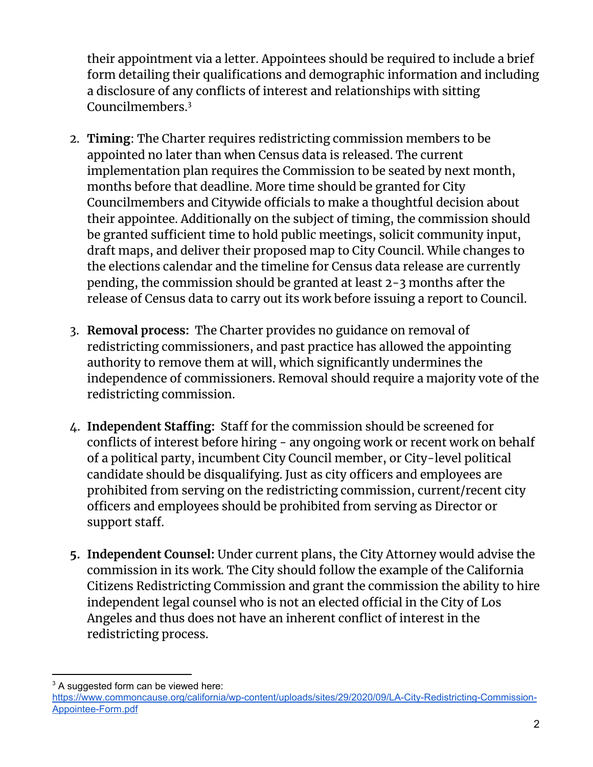their appointment via a letter. Appointees should be required to include a brief form detailing their qualifications and demographic information and including a disclosure of any conflicts of interest and relationships with sitting Councilmembers. 3

- 2. **Timing**: The Charter requires redistricting commission members to be appointed no later than when Census data is released. The current implementation plan requires the Commission to be seated by next month, months before that deadline. More time should be granted for City Councilmembers and Citywide officials to make a thoughtful decision about their appointee. Additionally on the subject of timing, the commission should be granted sufficient time to hold public meetings, solicit community input, draft maps, and deliver their proposed map to City Council. While changes to the elections calendar and the timeline for Census data release are currently pending, the commission should be granted at least 2-3 months after the release of Census data to carry out its work before issuing a report to Council.
- 3. **Removal process:** The Charter provides no guidance on removal of redistricting commissioners, and past practice has allowed the appointing authority to remove them at will, which significantly undermines the independence of commissioners. Removal should require a majority vote of the redistricting commission.
- 4. **Independent Staffing:** Staff for the commission should be screened for conflicts of interest before hiring - any ongoing work or recent work on behalf of a political party, incumbent City Council member, or City-level political candidate should be disqualifying. Just as city officers and employees are prohibited from serving on the redistricting commission, current/recent city officers and employees should be prohibited from serving as Director or support staff.
- **5. Independent Counsel:** Under current plans, the City Attorney would advise the commission in its work. The City should follow the example of the California Citizens Redistricting Commission and grant the commission the ability to hire independent legal counsel who is not an elected official in the City of Los Angeles and thus does not have an inherent conflict of interest in the redistricting process.

<sup>&</sup>lt;sup>3</sup> A suggested form can be viewed here:

[https://www.commoncause.org/california/wp-content/uploads/sites/29/2020/09/LA-City-Redistricting-Commission-](https://www.commoncause.org/california/wp-content/uploads/sites/29/2020/09/LA-City-Redistricting-Commission-Appointee-Form.pdf)[Appointee-Form.pdf](https://www.commoncause.org/california/wp-content/uploads/sites/29/2020/09/LA-City-Redistricting-Commission-Appointee-Form.pdf)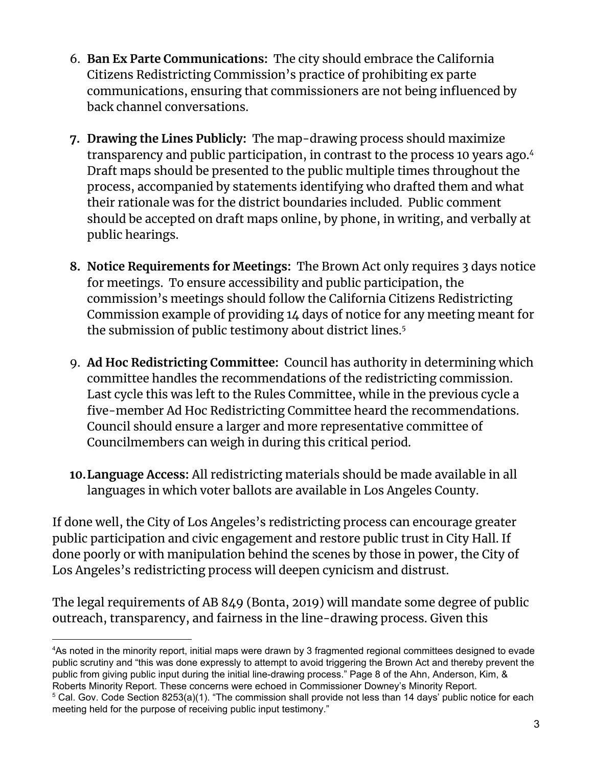- 6. **Ban Ex Parte Communications:** The city should embrace the California Citizens Redistricting Commission's practice of prohibiting ex parte communications, ensuring that commissioners are not being influenced by back channel conversations.
- **7. Drawing the Lines Publicly:** The map-drawing process should maximize transparency and public participation, in contrast to the process 10 years ago. 4 Draft maps should be presented to the public multiple times throughout the process, accompanied by statements identifying who drafted them and what their rationale was for the district boundaries included. Public comment should be accepted on draft maps online, by phone, in writing, and verbally at public hearings.
- **8. Notice Requirements for Meetings:** The Brown Act only requires 3 days notice for meetings. To ensure accessibility and public participation, the commission's meetings should follow the California Citizens Redistricting Commission example of providing 14 days of notice for any meeting meant for the submission of public testimony about district lines. 5
- 9. **Ad Hoc Redistricting Committee:** Council has authority in determining which committee handles the recommendations of the redistricting commission. Last cycle this was left to the Rules Committee, while in the previous cycle a five-member Ad Hoc Redistricting Committee heard the recommendations. Council should ensure a larger and more representative committee of Councilmembers can weigh in during this critical period.
- **10.Language Access:** All redistricting materials should be made available in all languages in which voter ballots are available in Los Angeles County.

If done well, the City of Los Angeles's redistricting process can encourage greater public participation and civic engagement and restore public trust in City Hall. If done poorly or with manipulation behind the scenes by those in power, the City of Los Angeles's redistricting process will deepen cynicism and distrust.

The legal requirements of AB 849 (Bonta, 2019) will mandate some degree of public outreach, transparency, and fairness in the line-drawing process. Given this

<sup>4</sup>As noted in the minority report, initial maps were drawn by 3 fragmented regional committees designed to evade public scrutiny and "this was done expressly to attempt to avoid triggering the Brown Act and thereby prevent the public from giving public input during the initial line-drawing process." Page 8 of the Ahn, Anderson, Kim, & Roberts Minority Report. These concerns were echoed in Commissioner Downey's Minority Report.

<sup>&</sup>lt;sup>5</sup> Cal. Gov. Code Section 8253(a)(1). "The commission shall provide not less than 14 days' public notice for each meeting held for the purpose of receiving public input testimony."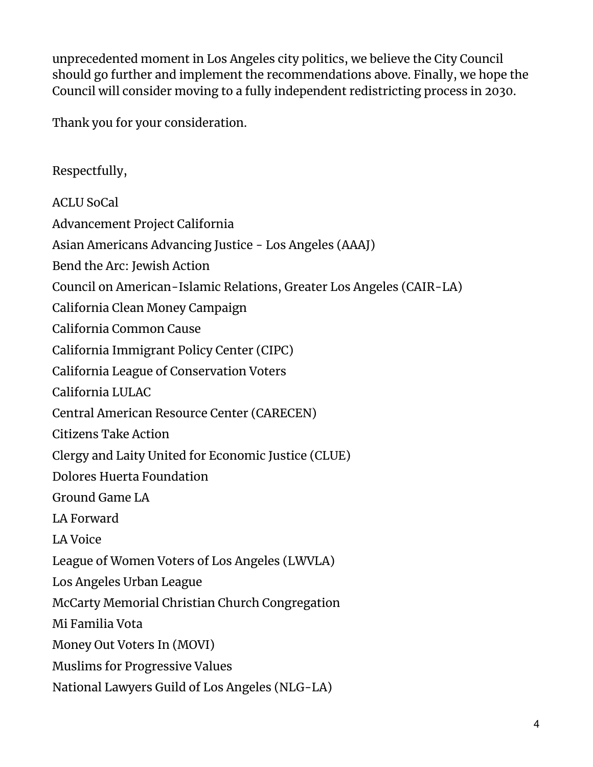unprecedented moment in Los Angeles city politics, we believe the City Council should go further and implement the recommendations above. Finally, we hope the Council will consider moving to a fully independent redistricting process in 2030.

Thank you for your consideration.

Respectfully, ACLU SoCal Advancement Project California Asian Americans Advancing Justice - Los Angeles (AAAJ) Bend the Arc: Jewish Action Council on American-Islamic Relations, Greater Los Angeles (CAIR-LA) California Clean Money Campaign California Common Cause California Immigrant Policy Center (CIPC) California League of Conservation Voters California LULAC Central American Resource Center (CARECEN) Citizens Take Action Clergy and Laity United for Economic Justice (CLUE) Dolores Huerta Foundation Ground Game LA LA Forward LA Voice League of Women Voters of Los Angeles (LWVLA) Los Angeles Urban League McCarty Memorial Christian Church Congregation Mi Familia Vota Money Out Voters In (MOVI) Muslims for Progressive Values National Lawyers Guild of Los Angeles (NLG-LA)